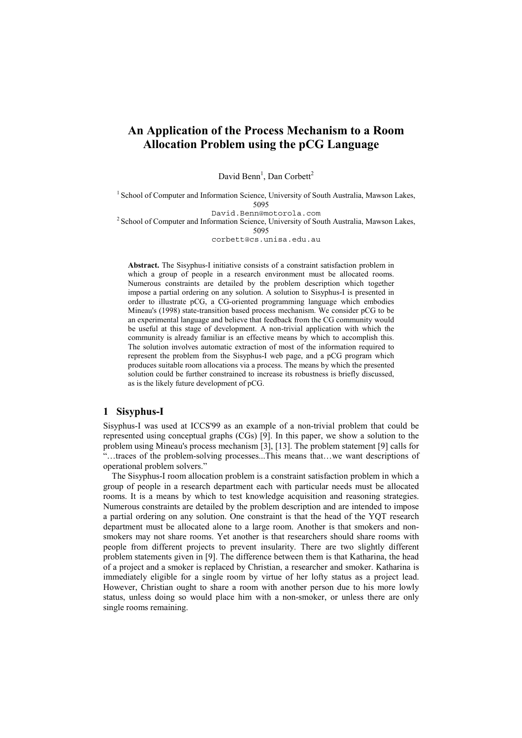# **An Application of the Process Mechanism to a Room Allocation Problem using the pCG Language**

David Benn<sup>1</sup>, Dan Corbett<sup>2</sup>

<sup>1</sup> School of Computer and Information Science, University of South Australia, Mawson Lakes, 5095<br>David.Benn@motorola.com

 $2$  School of Computer and Information Science, University of South Australia, Mawson Lakes, 5095

corbett@cs.unisa.edu.au

**Abstract.** The Sisyphus-I initiative consists of a constraint satisfaction problem in which a group of people in a research environment must be allocated rooms. Numerous constraints are detailed by the problem description which together impose a partial ordering on any solution. A solution to Sisyphus-I is presented in order to illustrate pCG, a CG-oriented programming language which embodies Mineau's (1998) state-transition based process mechanism. We consider pCG to be an experimental language and believe that feedback from the CG community would be useful at this stage of development. A non-trivial application with which the community is already familiar is an effective means by which to accomplish this. The solution involves automatic extraction of most of the information required to represent the problem from the Sisyphus-I web page, and a pCG program which produces suitable room allocations via a process. The means by which the presented solution could be further constrained to increase its robustness is briefly discussed, as is the likely future development of pCG.

# **1 Sisyphus-I**

Sisyphus-I was used at ICCS'99 as an example of a non-trivial problem that could be represented using conceptual graphs  $(CGs)$  [\[9\]](#page-15-0). In this paper, we show a solution to the problem using Mineau's process mechanism [\[3\]](#page-15-0), [\[13\]](#page-15-0). The problem statement [[9\]](#page-15-0) calls for "…traces of the problem-solving processes...This means that…we want descriptions of operational problem solvers."

The Sisyphus-I room allocation problem is a constraint satisfaction problem in which a group of people in a research department each with particular needs must be allocated rooms. It is a means by which to test knowledge acquisition and reasoning strategies. Numerous constraints are detailed by the problem description and are intended to impose a partial ordering on any solution. One constraint is that the head of the YQT research department must be allocated alone to a large room. Another is that smokers and nonsmokers may not share rooms. Yet another is that researchers should share rooms with people from different projects to prevent insularity. There are two slightly different problem statements given in [\[9\]](#page-15-0). The difference between them is that Katharina, the head of a project and a smoker is replaced by Christian, a researcher and smoker. Katharina is immediately eligible for a single room by virtue of her lofty status as a project lead. However, Christian ought to share a room with another person due to his more lowly status, unless doing so would place him with a non-smoker, or unless there are only single rooms remaining.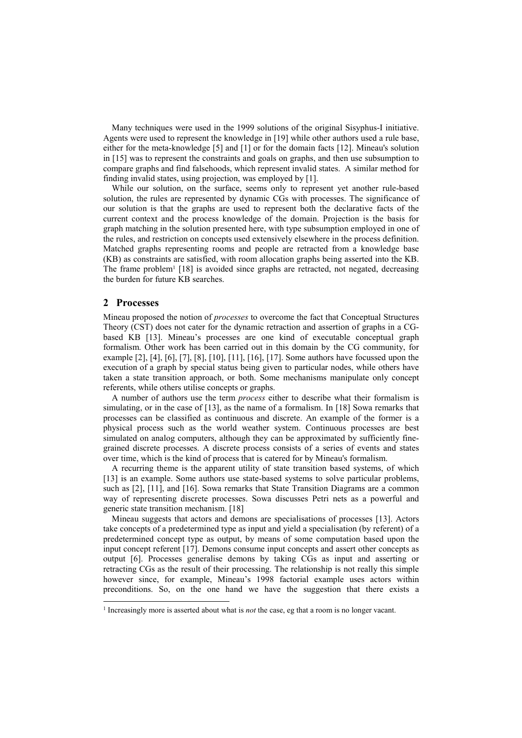Many techniques were used in the 1999 solutions of the original Sisyphus-I initiative. Agents were used to represent the knowledge in [\[19\]](#page-15-0) while other authors used a rule base, either for the meta-knowledge [\[5\]](#page-15-0) and [\[1](#page-15-0)] or for the domain facts [\[12\]](#page-15-0). Mineau's solution in [\[15\]](#page-15-0) was to represent the constraints and goals on graphs, and then use subsumption to compare graphs and find falsehoods, which represent invalid states. A similar method for finding invalid states, using projection, was employed by [[1\]](#page-15-0).

While our solution, on the surface, seems only to represent yet another rule-based solution, the rules are represented by dynamic CGs with processes. The significance of our solution is that the graphs are used to represent both the declarative facts of the current context and the process knowledge of the domain. Projection is the basis for graph matching in the solution presented here, with type subsumption employed in one of the rules, and restriction on concepts used extensively elsewhere in the process definition. Matched graphs representing rooms and people are retracted from a knowledge base (KB) as constraints are satisfied, with room allocation graphs being asserted into the KB. The frame problem<sup>1</sup> [\[18\]](#page-15-0) is avoided since graphs are retracted, not negated, decreasing the burden for future KB searches.

## **2 Processes**

l

Mineau proposed the notion of *processes* to overcome the fact that Conceptual Structures Theory (CST) does not cater for the dynamic retraction and assertion of graphs in a CGbased KB [\[13\]](#page-15-0). Mineau's processes are one kind of executable conceptual graph formalism. Other work has been carried out in this domain by the CG community, for example [[2\]](#page-15-0), [\[4\]](#page-15-0), [\[6\]](#page-15-0), [\[7\]](#page-15-0), [\[8\]](#page-15-0), [\[10\]](#page-15-0), [\[11\]](#page-15-0), [\[16\]](#page-15-0), [\[17\]](#page-15-0). Some authors have focussed upon the execution of a graph by special status being given to particular nodes, while others have taken a state transition approach, or both. Some mechanisms manipulate only concept referents, while others utilise concepts or graphs.

A number of authors use the term *process* either to describe what their formalism is simulating, or in the case of [\[13\]](#page-15-0), as the name of a formalism. In [\[18\]](#page-15-0) Sowa remarks that processes can be classified as continuous and discrete. An example of the former is a physical process such as the world weather system. Continuous processes are best simulated on analog computers, although they can be approximated by sufficiently finegrained discrete processes. A discrete process consists of a series of events and states over time, which is the kind of process that is catered for by Mineau's formalism.

A recurring theme is the apparent utility of state transition based systems, of which [[13\]](#page-15-0) is an example. Some authors use state-based systems to solve particular problems, such as [[2\]](#page-15-0), [[11\]](#page-15-0), and [[16\]](#page-15-0). Sowa remarks that State Transition Diagrams are a common way of representing discrete processes. Sowa discusses Petri nets as a powerful and generic state transition mechanism. [[18\]](#page-15-0)

Mineau suggests that actors and demons are specialisations of processes [\[13\]](#page-15-0). Actors take concepts of a predetermined type as input and yield a specialisation (by referent) of a predetermined concept type as output, by means of some computation based upon the input concept referent [\[17\]](#page-15-0). Demons consume input concepts and assert other concepts as output [\[6\]](#page-15-0). Processes generalise demons by taking CGs as input and asserting or retracting CGs as the result of their processing. The relationship is not really this simple however since, for example, Mineau's 1998 factorial example uses actors within preconditions. So, on the one hand we have the suggestion that there exists a

<sup>&</sup>lt;sup>1</sup> Increasingly more is asserted about what is *not* the case, eg that a room is no longer vacant.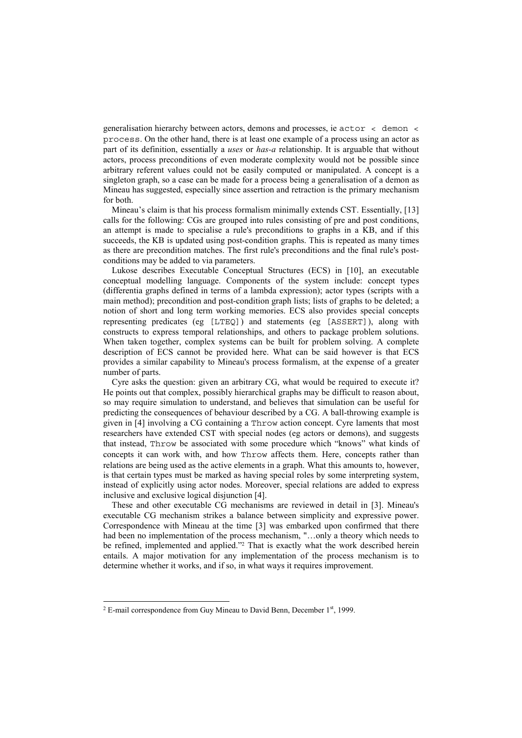generalisation hierarchy between actors, demons and processes, ie actor < demon < process. On the other hand, there is at least one example of a process using an actor as part of its definition, essentially a *uses* or *has-a* relationship. It is arguable that without actors, process preconditions of even moderate complexity would not be possible since arbitrary referent values could not be easily computed or manipulated. A concept is a singleton graph, so a case can be made for a process being a generalisation of a demon as Mineau has suggested, especially since assertion and retraction is the primary mechanism for both.

Mineau's claim is that his process formalism minimally extends CST. Essentially, [\[13\]](#page-15-0) calls for the following: CGs are grouped into rules consisting of pre and post conditions, an attempt is made to specialise a rule's preconditions to graphs in a KB, and if this succeeds, the KB is updated using post-condition graphs. This is repeated as many times as there are precondition matches. The first rule's preconditions and the final rule's postconditions may be added to via parameters.

Lukose describes Executable Conceptual Structures (ECS) in [[10\]](#page-15-0), an executable conceptual modelling language. Components of the system include: concept types (differentia graphs defined in terms of a lambda expression); actor types (scripts with a main method); precondition and post-condition graph lists; lists of graphs to be deleted; a notion of short and long term working memories. ECS also provides special concepts representing predicates (eg [LTEQ]) and statements (eg [ASSERT]), along with constructs to express temporal relationships, and others to package problem solutions. When taken together, complex systems can be built for problem solving. A complete description of ECS cannot be provided here. What can be said however is that ECS provides a similar capability to Mineau's process formalism, at the expense of a greater number of parts.

Cyre asks the question: given an arbitrary CG, what would be required to execute it? He points out that complex, possibly hierarchical graphs may be difficult to reason about, so may require simulation to understand, and believes that simulation can be useful for predicting the consequences of behaviour described by a CG. A ball-throwing example is given in [\[4\]](#page-15-0) involving a CG containing a Throw action concept. Cyre laments that most researchers have extended CST with special nodes (eg actors or demons), and suggests that instead, Throw be associated with some procedure which "knows" what kinds of concepts it can work with, and how Throw affects them. Here, concepts rather than relations are being used as the active elements in a graph. What this amounts to, however, is that certain types must be marked as having special roles by some interpreting system, instead of explicitly using actor nodes. Moreover, special relations are added to express inclusive and exclusive logical disjunction [\[4\]](#page-15-0).

These and other executable CG mechanisms are reviewed in detail in [\[3\]](#page-15-0). Mineau's executable CG mechanism strikes a balance between simplicity and expressive power. Correspondence with Mineau at the time [\[3\]](#page-15-0) was embarked upon confirmed that there had been no implementation of the process mechanism, "...only a theory which needs to be refined, implemented and applied."<sup>2</sup> That is exactly what the work described herein entails. A major motivation for any implementation of the process mechanism is to determine whether it works, and if so, in what ways it requires improvement.

 $2$  E-mail correspondence from Guy Mineau to David Benn, December  $1<sup>st</sup>$ , 1999.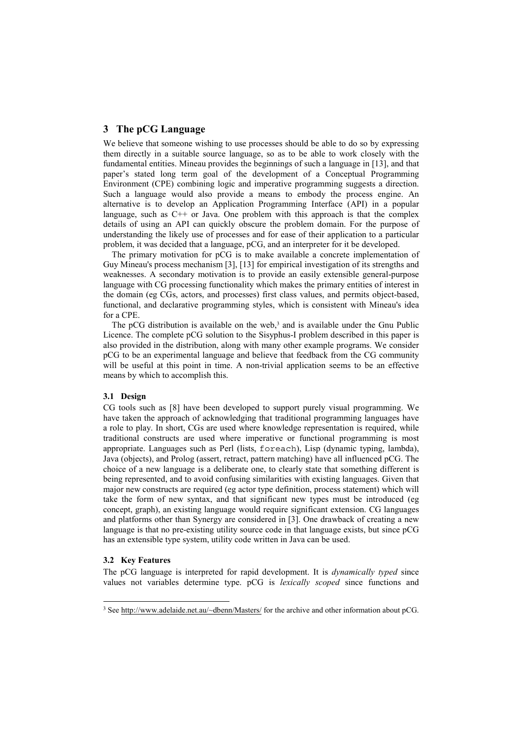# **3 The pCG Language**

We believe that someone wishing to use processes should be able to do so by expressing them directly in a suitable source language, so as to be able to work closely with the fundamental entities. Mineau provides the beginnings of such a language in [\[13\]](#page-15-0), and that paper's stated long term goal of the development of a Conceptual Programming Environment (CPE) combining logic and imperative programming suggests a direction. Such a language would also provide a means to embody the process engine. An alternative is to develop an Application Programming Interface (API) in a popular language, such as  $C^{++}$  or Java. One problem with this approach is that the complex details of using an API can quickly obscure the problem domain. For the purpose of understanding the likely use of processes and for ease of their application to a particular problem, it was decided that a language, pCG, and an interpreter for it be developed.

The primary motivation for pCG is to make available a concrete implementation of Guy Mineau's process mechanism [[3\]](#page-15-0), [[13\]](#page-15-0) for empirical investigation of its strengths and weaknesses. A secondary motivation is to provide an easily extensible general-purpose language with CG processing functionality which makes the primary entities of interest in the domain (eg CGs, actors, and processes) first class values, and permits object-based, functional, and declarative programming styles, which is consistent with Mineau's idea for a CPE.

The pCG distribution is available on the web,<sup>3</sup> and is available under the Gnu Public Licence. The complete pCG solution to the Sisyphus-I problem described in this paper is also provided in the distribution, along with many other example programs. We consider pCG to be an experimental language and believe that feedback from the CG community will be useful at this point in time. A non-trivial application seems to be an effective means by which to accomplish this.

#### **3.1 Design**

CG tools such as [[8\]](#page-15-0) have been developed to support purely visual programming. We have taken the approach of acknowledging that traditional programming languages have a role to play. In short, CGs are used where knowledge representation is required, while traditional constructs are used where imperative or functional programming is most appropriate. Languages such as Perl (lists, foreach), Lisp (dynamic typing, lambda), Java (objects), and Prolog (assert, retract, pattern matching) have all influenced pCG. The choice of a new language is a deliberate one, to clearly state that something different is being represented, and to avoid confusing similarities with existing languages. Given that major new constructs are required (eg actor type definition, process statement) which will take the form of new syntax, and that significant new types must be introduced (eg concept, graph), an existing language would require significant extension. CG languages and platforms other than Synergy are considered in [\[3\]](#page-15-0). One drawback of creating a new language is that no pre-existing utility source code in that language exists, but since pCG has an extensible type system, utility code written in Java can be used.

### **3.2 Key Features**

l

The pCG language is interpreted for rapid development. It is *dynamically typed* since values not variables determine type. pCG is *lexically scoped* since functions and

<sup>&</sup>lt;sup>3</sup> See http://www.adelaide.net.au/~dbenn/Masters/ for the archive and other information about pCG.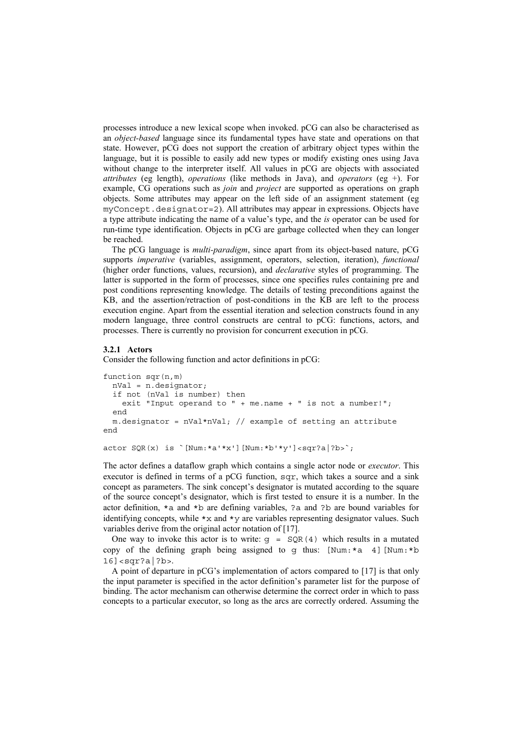processes introduce a new lexical scope when invoked. pCG can also be characterised as an *object-based* language since its fundamental types have state and operations on that state. However, pCG does not support the creation of arbitrary object types within the language, but it is possible to easily add new types or modify existing ones using Java without change to the interpreter itself. All values in pCG are objects with associated *attributes* (eg length), *operations* (like methods in Java), and *operators* (eg +). For example, CG operations such as *join* and *project* are supported as operations on graph objects. Some attributes may appear on the left side of an assignment statement (eg  $mvConcept$ . designator=2). All attributes may appear in expressions. Objects have a type attribute indicating the name of a value's type, and the *is* operator can be used for run-time type identification. Objects in pCG are garbage collected when they can longer be reached.

The pCG language is *multi-paradigm*, since apart from its object-based nature, pCG supports *imperative* (variables, assignment, operators, selection, iteration), *functional* (higher order functions, values, recursion), and *declarative* styles of programming. The latter is supported in the form of processes, since one specifies rules containing pre and post conditions representing knowledge. The details of testing preconditions against the KB, and the assertion/retraction of post-conditions in the KB are left to the process execution engine. Apart from the essential iteration and selection constructs found in any modern language, three control constructs are central to pCG: functions, actors, and processes. There is currently no provision for concurrent execution in pCG.

#### **3.2.1 Actors**

Consider the following function and actor definitions in pCG:

```
function sqr(n,m)
   nVal = n.designator;
   if not (nVal is number) then
     exit "Input operand to " + me.name + " is not a number!";
   end
  m.designator = nVal*nVal; // example of setting an attribute
end
```

```
actor SOR(x) is `[Num:*a'*x'][Num:*b'*v']<sqr?a|?b>`;
```
The actor defines a dataflow graph which contains a single actor node or *executor*. This executor is defined in terms of a pCG function, sqr, which takes a source and a sink concept as parameters. The sink concept's designator is mutated according to the square of the source concept's designator, which is first tested to ensure it is a number. In the actor definition, \*a and \*b are defining variables, ?a and ?b are bound variables for identifying concepts, while  $\star$ x and  $\star$ y are variables representing designator values. Such variables derive from the original actor notation of [[17\]](#page-15-0).

One way to invoke this actor is to write:  $g = SQR(4)$  which results in a mutated copy of the defining graph being assigned to q thus: [Num:\*a 4] [Num:\*b] 16]<sqr?a|?b>.

A point of departure in pCG's implementation of actors compared to [\[17\]](#page-15-0) is that only the input parameter is specified in the actor definition's parameter list for the purpose of binding. The actor mechanism can otherwise determine the correct order in which to pass concepts to a particular executor, so long as the arcs are correctly ordered. Assuming the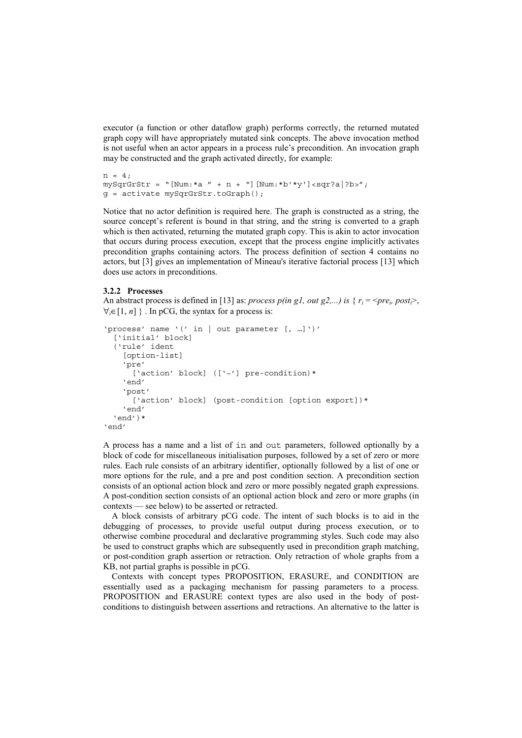executor (a function or other dataflow graph) performs correctly, the returned mutated graph copy will have appropriately mutated sink concepts. The above invocation method is not useful when an actor appears in a process rule's precondition. An invocation graph may be constructed and the graph activated directly, for example:

```
n = 4:
mySqrGrStr = \sqrt{\text{Num}:a'' + n + \sqrt{\text{Num}:b' * y'}} <sqr?a|?b>";
g = activate mySqrGrStr.toGraph();
```
Notice that no actor definition is required here. The graph is constructed as a string, the source concept's referent is bound in that string, and the string is converted to a graph which is then activated, returning the mutated graph copy. This is akin to actor invocation that occurs during process execution, except that the process engine implicitly activates precondition graphs containing actors. The process definition of section 4 contains no actors, but [[3\]](#page-15-0) gives an implementation of Mineau's iterative factorial process [\[13\]](#page-15-0) which does use actors in preconditions.

#### **3.2.2 Processes**

An abstract process is defined in [[13\]](#page-15-0) as: *process p(in g1, out g2,...)* is  $\{r_i = \langle pre_i, post_i \rangle,$  $\forall_i \in [1, n]$  } . In pCG, the syntax for a process is:

```
'process' name '(' in | out parameter [, …]')'
   ['initial' block]
   ('rule' ident
     [option-list]
     'pre'
      ['action' block] (['~'] pre-condition)*
     'end'
     'post'
       ['action' block] (post-condition [option export])*
     'end'
  'end') *
'end'
```
A process has a name and a list of in and out parameters, followed optionally by a block of code for miscellaneous initialisation purposes, followed by a set of zero or more rules. Each rule consists of an arbitrary identifier, optionally followed by a list of one or more options for the rule, and a pre and post condition section. A precondition section consists of an optional action block and zero or more possibly negated graph expressions. A post-condition section consists of an optional action block and zero or more graphs (in contexts — see below) to be asserted or retracted.

A block consists of arbitrary pCG code. The intent of such blocks is to aid in the debugging of processes, to provide useful output during process execution, or to otherwise combine procedural and declarative programming styles. Such code may also be used to construct graphs which are subsequently used in precondition graph matching, or post-condition graph assertion or retraction. Only retraction of whole graphs from a KB, not partial graphs is possible in pCG.

Contexts with concept types PROPOSITION, ERASURE, and CONDITION are essentially used as a packaging mechanism for passing parameters to a process. PROPOSITION and ERASURE context types are also used in the body of postconditions to distinguish between assertions and retractions. An alternative to the latter is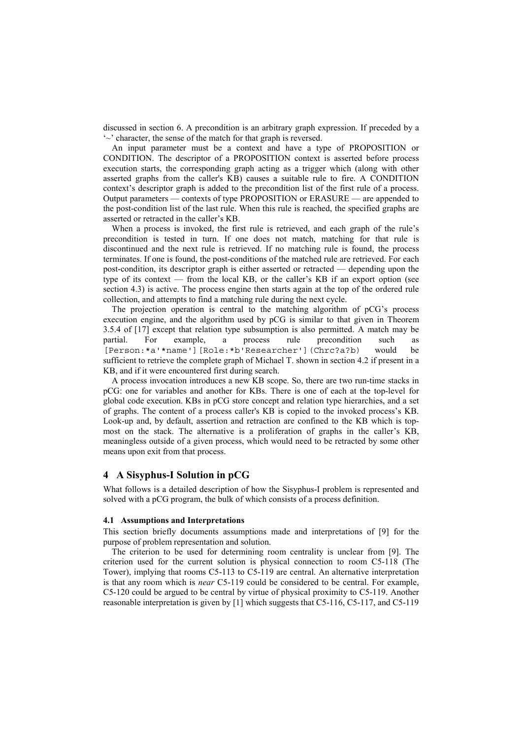discussed in section 6. A precondition is an arbitrary graph expression. If preceded by a  $\sim$  character, the sense of the match for that graph is reversed.

An input parameter must be a context and have a type of PROPOSITION or CONDITION. The descriptor of a PROPOSITION context is asserted before process execution starts, the corresponding graph acting as a trigger which (along with other asserted graphs from the caller's KB) causes a suitable rule to fire. A CONDITION context's descriptor graph is added to the precondition list of the first rule of a process. Output parameters — contexts of type PROPOSITION or ERASURE — are appended to the post-condition list of the last rule. When this rule is reached, the specified graphs are asserted or retracted in the caller's KB.

When a process is invoked, the first rule is retrieved, and each graph of the rule's precondition is tested in turn. If one does not match, matching for that rule is discontinued and the next rule is retrieved. If no matching rule is found, the process terminates. If one is found, the post-conditions of the matched rule are retrieved. For each post-condition, its descriptor graph is either asserted or retracted — depending upon the type of its context — from the local KB, or the caller's KB if an export option (see section 4.3) is active. The process engine then starts again at the top of the ordered rule collection, and attempts to find a matching rule during the next cycle.

The projection operation is central to the matching algorithm of pCG's process execution engine, and the algorithm used by pCG is similar to that given in Theorem 3.5.4 of [\[17\]](#page-15-0) except that relation type subsumption is also permitted. A match may be partial. For example, a process rule precondition such as [Person:\*a'\*name'][Role:\*b'Researcher'](Chrc?a?b) would be sufficient to retrieve the complete graph of Michael T. shown in section 4.2 if present in a KB, and if it were encountered first during search.

A process invocation introduces a new KB scope. So, there are two run-time stacks in pCG: one for variables and another for KBs. There is one of each at the top-level for global code execution. KBs in pCG store concept and relation type hierarchies, and a set of graphs. The content of a process caller's KB is copied to the invoked process's KB. Look-up and, by default, assertion and retraction are confined to the KB which is topmost on the stack. The alternative is a proliferation of graphs in the caller's KB, meaningless outside of a given process, which would need to be retracted by some other means upon exit from that process.

# **4 A Sisyphus-I Solution in pCG**

What follows is a detailed description of how the Sisyphus-I problem is represented and solved with a pCG program, the bulk of which consists of a process definition.

#### **4.1 Assumptions and Interpretations**

This section briefly documents assumptions made and interpretations of [\[9\]](#page-15-0) for the purpose of problem representation and solution.

The criterion to be used for determining room centrality is unclear from [[9\]](#page-15-0). The criterion used for the current solution is physical connection to room C5-118 (The Tower), implying that rooms C5-113 to C5-119 are central. An alternative interpretation is that any room which is *near* C5-119 could be considered to be central. For example, C5-120 could be argued to be central by virtue of physical proximity to C5-119. Another reasonable interpretation is given by [[1\]](#page-15-0) which suggests that C5-116, C5-117, and C5-119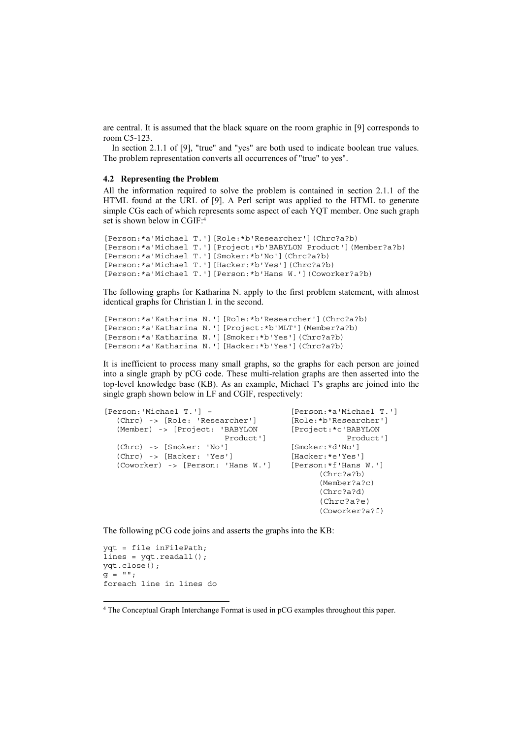are central. It is assumed that the black square on the room graphic in [\[9](#page-15-0)] corresponds to room C5-123.

In section 2.1.1 of [\[9\]](#page-15-0), "true" and "yes" are both used to indicate boolean true values. The problem representation converts all occurrences of "true" to yes".

#### **4.2 Representing the Problem**

All the information required to solve the problem is contained in section 2.1.1 of the HTML found at the URL of [[9\]](#page-15-0). A Perl script was applied to the HTML to generate simple CGs each of which represents some aspect of each YQT member. One such graph set is shown below in CGIF:4

```
[Person:*a'Michael T.'][Role:*b'Researcher'](Chrc?a?b)
[Person:*a'Michael T.'][Project:*b'BABYLON Product'](Member?a?b)
[Person:*a'Michael T.'][Smoker:*b'No'](Chrc?a?b)
[Person:*a'Michael T.'][Hacker:*b'Yes'](Chrc?a?b)
[Person:*a'Michael T.'][Person:*b'Hans W.'](Coworker?a?b)
```
The following graphs for Katharina N. apply to the first problem statement, with almost identical graphs for Christian I. in the second.

```
[Person:*a'Katharina N.'][Role:*b'Researcher'](Chrc?a?b)
[Person:*a'Katharina N.'][Project:*b'MLT'](Member?a?b)
[Person:*a'Katharina N.'][Smoker:*b'Yes'](Chrc?a?b)
[Person:*a'Katharina N.'][Hacker:*b'Yes'](Chrc?a?b)
```
It is inefficient to process many small graphs, so the graphs for each person are joined into a single graph by pCG code. These multi-relation graphs are then asserted into the top-level knowledge base (KB). As an example, Michael T's graphs are joined into the single graph shown below in LF and CGIF, respectively:

```
[Person:'Michael T.'] –
  (Chrc) -> [Role: 'Researcher']
  (Member) -> [Project: 'BABYLON
                           Product']
  (Chrc) -> [Smoker: 'No']
  (Chrc) -> [Hacker: 'Yes']
  (Coworker) -> [Person: 'Hans W.']
                                         [Person:*a'Michael T.']
                                         [Role:*b'Researcher']
                                         [Project:*c'BABYLON
                                                      Product']
                                         [Smoker:*d'No']
                                         [Hacker:*e'Yes']
                                         [Person:*f'Hans W.']
                                               (Chrc?a?b)
                                               (Member?a?c)
                                               (Chrc?a?d)
                                               (Chrc?a?e)
                                               (Coworker?a?f)
```
The following pCG code joins and asserts the graphs into the KB:

```
yqt = file inFilePath;
lines = yqt.readall();
yqt.close();
g = " "foreach line in lines do
```
<sup>&</sup>lt;sup>4</sup> The Conceptual Graph Interchange Format is used in pCG examples throughout this paper.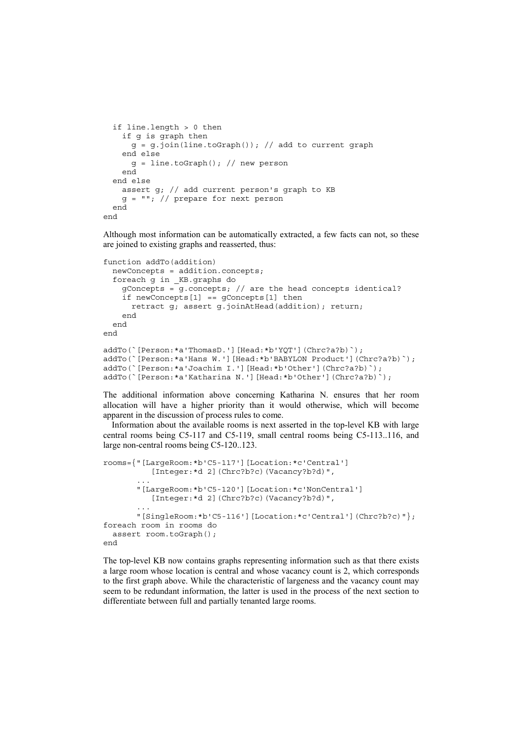```
 if line.length > 0 then
    if g is graph then
     q = q.join(line.toGraph()); // add to current graph
     end else
      g = line.toGraph(); // new person
     end
   end else
    assert g; // add current person's graph to KB
   g = ""; // prepare for next person end
end
```
Although most information can be automatically extracted, a few facts can not, so these are joined to existing graphs and reasserted, thus:

```
function addTo(addition)
   newConcepts = addition.concepts;
   foreach g in _KB.graphs do
    gConcepts = g.\text{concepts}; // are the head concepts identical?
     if newConcepts[1] == gConcepts[1] then
       retract g; assert g.joinAtHead(addition); return;
     end
   end
end
addTo(`[Person:*a'ThomasD.'][Head:*b'YQT'](Chrc?a?b)`);
addTo(`[Person:*a'Hans W.'][Head:*b'BABYLON Product'](Chrc?a?b)`);
addTo(`[Person:*a'Joachim I.'][Head:*b'Other'](Chrc?a?b)`);
addTo(`[Person:*a'Katharina N.'][Head:*b'Other'](Chrc?a?b)`);
```
The additional information above concerning Katharina N. ensures that her room allocation will have a higher priority than it would otherwise, which will become apparent in the discussion of process rules to come.

Information about the available rooms is next asserted in the top-level KB with large central rooms being C5-117 and C5-119, small central rooms being C5-113..116, and large non-central rooms being C5-120..123.

```
rooms={"[LargeRoom:*b'C5-117'][Location:*c'Central']
           [Integer:*d 2](Chrc?b?c)(Vacancy?b?d)",
 ...
        "[LargeRoom:*b'C5-120'][Location:*c'NonCentral']
           [Integer:*d 2](Chrc?b?c)(Vacancy?b?d)",
 ...
        "[SingleRoom:*b'C5-116'][Location:*c'Central'](Chrc?b?c)"};
foreach room in rooms do
  assert room.toGraph();
end
```
The top-level KB now contains graphs representing information such as that there exists a large room whose location is central and whose vacancy count is 2, which corresponds to the first graph above. While the characteristic of largeness and the vacancy count may seem to be redundant information, the latter is used in the process of the next section to differentiate between full and partially tenanted large rooms.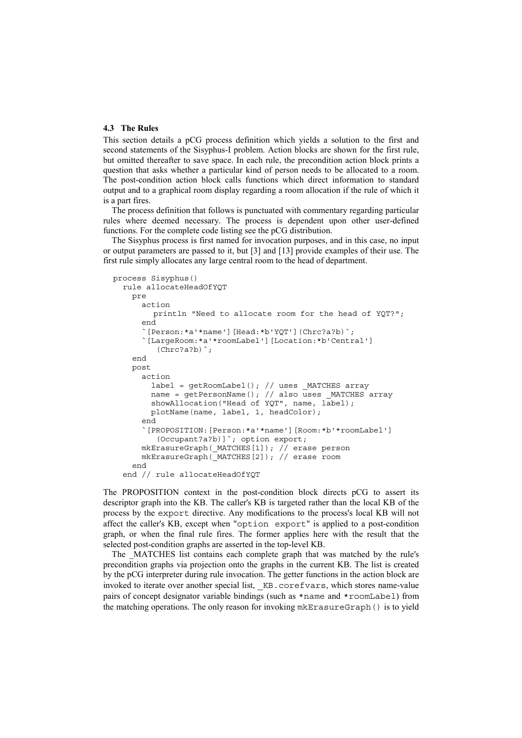### **4.3 The Rules**

This section details a pCG process definition which yields a solution to the first and second statements of the Sisyphus-I problem. Action blocks are shown for the first rule, but omitted thereafter to save space. In each rule, the precondition action block prints a question that asks whether a particular kind of person needs to be allocated to a room. The post-condition action block calls functions which direct information to standard output and to a graphical room display regarding a room allocation if the rule of which it is a part fires.

The process definition that follows is punctuated with commentary regarding particular rules where deemed necessary. The process is dependent upon other user-defined functions. For the complete code listing see the pCG distribution.

The Sisyphus process is first named for invocation purposes, and in this case, no input or output parameters are passed to it, but [\[3](#page-15-0)] and [\[13\]](#page-15-0) provide examples of their use. The first rule simply allocates any large central room to the head of department.

```
process Sisyphus()
   rule allocateHeadOfYQT
    pre
       action
         println "Need to allocate room for the head of YQT?";
       end
        `[Person:*a'*name'][Head:*b'YQT'](Chrc?a?b)`;
       `[LargeRoom:*a'*roomLabel'][Location:*b'Central']
          (Chrc?a?b)`;
     end
     post
       action
         label = getRoomLabel(); // uses _MATCHES array
 name = getPersonName(); // also uses _MATCHES array
 showAllocation("Head of YQT", name, label);
         plotName(name, label, 1, headColor);
       end
        `[PROPOSITION:[Person:*a'*name'][Room:*b'*roomLabel']
          (Occupant?a?b)]`; option export;
       mkErasureGraph(_MATCHES[1]); // erase person
       mkErasureGraph(_MATCHES[2]); // erase room
     end
  end // rule allocateHeadOfYQT
```
The PROPOSITION context in the post-condition block directs pCG to assert its descriptor graph into the KB. The caller's KB is targeted rather than the local KB of the process by the export directive. Any modifications to the process's local KB will not affect the caller's KB, except when "option export" is applied to a post-condition graph, or when the final rule fires. The former applies here with the result that the selected post-condition graphs are asserted in the top-level KB.

The \_MATCHES list contains each complete graph that was matched by the rule's precondition graphs via projection onto the graphs in the current KB. The list is created by the pCG interpreter during rule invocation. The getter functions in the action block are invoked to iterate over another special list, \_KB.corefvars, which stores name-value pairs of concept designator variable bindings (such as \*name and \*roomLabel) from the matching operations. The only reason for invoking mkErasureGraph() is to yield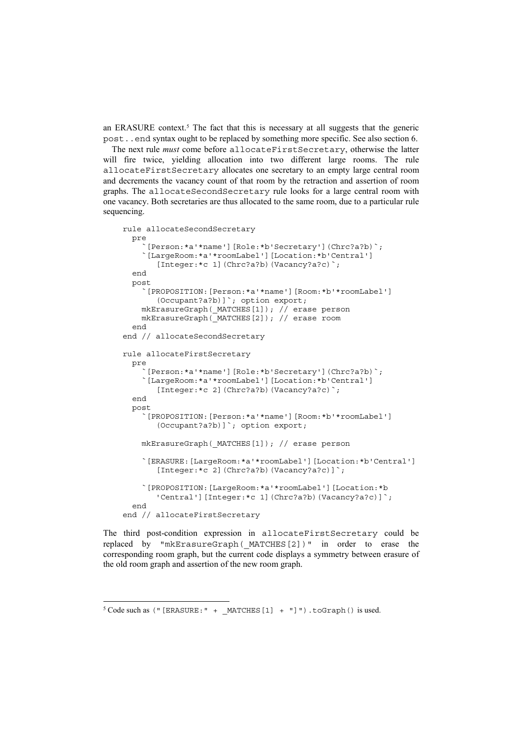an ERASURE context.<sup>5</sup> The fact that this is necessary at all suggests that the generic post..end syntax ought to be replaced by something more specific. See also section 6.

The next rule *must* come before allocateFirstSecretary, otherwise the latter will fire twice, yielding allocation into two different large rooms. The rule allocateFirstSecretary allocates one secretary to an empty large central room and decrements the vacancy count of that room by the retraction and assertion of room graphs. The allocateSecondSecretary rule looks for a large central room with one vacancy. Both secretaries are thus allocated to the same room, due to a particular rule sequencing.

```
 rule allocateSecondSecretary
   pre
      `[Person:*a'*name'][Role:*b'Secretary'](Chrc?a?b)`;
     `[LargeRoom:*a'*roomLabel'][Location:*b'Central']
        [Integer:*c 1](Chrc?a?b)(Vacancy?a?c)`;
   end
   post
      `[PROPOSITION:[Person:*a'*name'][Room:*b'*roomLabel']
        (Occupant?a?b)]`; option export;
     mkErasureGraph(_MATCHES[1]); // erase person
     mkErasureGraph(_MATCHES[2]); // erase room
   end
 end // allocateSecondSecretary
 rule allocateFirstSecretary
   pre
     `[Person:*a'*name'][Role:*b'Secretary'](Chrc?a?b)`;
     `[LargeRoom:*a'*roomLabel'][Location:*b'Central']
       [Integer:*c 2] (Chrc?a?b) (Vacancy?a?c) `;
   end
   post
     `[PROPOSITION:[Person:*a'*name'][Room:*b'*roomLabel']
        (Occupant?a?b)]`; option export;
     mkErasureGraph(_MATCHES[1]); // erase person
     `[ERASURE:[LargeRoom:*a'*roomLabel'][Location:*b'Central']
        [Integer:*c 2](Chrc?a?b)(Vacancy?a?c)]`;
     `[PROPOSITION:[LargeRoom:*a'*roomLabel'][Location:*b
        'Central'][Integer:*c 1](Chrc?a?b)(Vacancy?a?c)]`;
   end
end // allocateFirstSecretary
```
The third post-condition expression in allocateFirstSecretary could be replaced by "mkErasureGraph(\_MATCHES[2])" in order to erase the corresponding room graph, but the current code displays a symmetry between erasure of the old room graph and assertion of the new room graph.

 $5 \text{ Code such as } (" [ERASURE: " + MATCHES[1] + "]"). \text{toGraph() is used.}$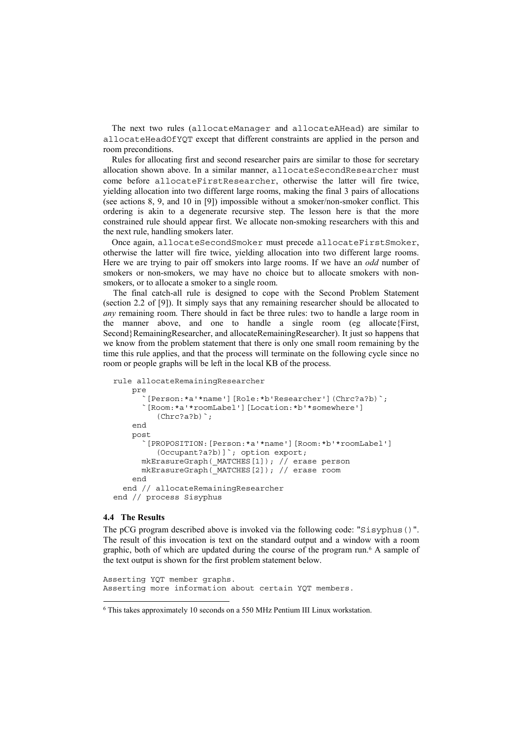The next two rules (allocateManager and allocateAHead) are similar to allocateHeadOfYQT except that different constraints are applied in the person and room preconditions.

Rules for allocating first and second researcher pairs are similar to those for secretary allocation shown above. In a similar manner, allocateSecondResearcher must come before allocateFirstResearcher, otherwise the latter will fire twice, yielding allocation into two different large rooms, making the final 3 pairs of allocations (see actions 8, 9, and 10 in [\[9\]](#page-15-0)) impossible without a smoker/non-smoker conflict. This ordering is akin to a degenerate recursive step. The lesson here is that the more constrained rule should appear first. We allocate non-smoking researchers with this and the next rule, handling smokers later.

Once again, allocateSecondSmoker must precede allocateFirstSmoker, otherwise the latter will fire twice, yielding allocation into two different large rooms. Here we are trying to pair off smokers into large rooms. If we have an *odd* number of smokers or non-smokers, we may have no choice but to allocate smokers with nonsmokers, or to allocate a smoker to a single room.

The final catch-all rule is designed to cope with the Second Problem Statement (section 2.2 of [\[9\]](#page-15-0)). It simply says that any remaining researcher should be allocated to *any* remaining room. There should in fact be three rules: two to handle a large room in the manner above, and one to handle a single room (eg allocate{First, Second}RemainingResearcher, and allocateRemainingResearcher). It just so happens that we know from the problem statement that there is only one small room remaining by the time this rule applies, and that the process will terminate on the following cycle since no room or people graphs will be left in the local KB of the process.

```
rule allocateRemainingResearcher
    pre
       [Person:*a'*name'][Role:*b'Researcher'](Chrc?a?b)`;
       `[Room:*a'*roomLabel'][Location:*b'*somewhere']
          (Chrc?a?b)`;
     end
     post
        `[PROPOSITION:[Person:*a'*name'][Room:*b'*roomLabel']
          (Occupant?a?b)]`; option export;
       mkErasureGraph(_MATCHES[1]); // erase person
       mkErasureGraph(_MATCHES[2]); // erase room
     end
   end // allocateRemainingResearcher
end // process Sisyphus
```
### **4.4 The Results**

l

The pCG program described above is invoked via the following code: "Sisyphus()". The result of this invocation is text on the standard output and a window with a room graphic, both of which are updated during the course of the program run.<sup>6</sup> A sample of the text output is shown for the first problem statement below.

Asserting YQT member graphs. Asserting more information about certain YQT members.

<sup>6</sup> This takes approximately 10 seconds on a 550 MHz Pentium III Linux workstation.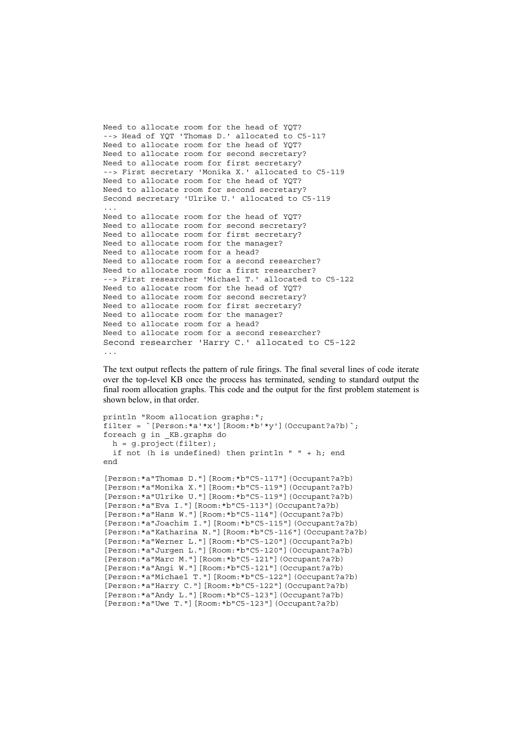```
Need to allocate room for the head of YQT?
--> Head of YQT 'Thomas D.' allocated to C5-117
Need to allocate room for the head of YQT?
Need to allocate room for second secretary?
Need to allocate room for first secretary?
--> First secretary 'Monika X.' allocated to C5-119
Need to allocate room for the head of YQT?
Need to allocate room for second secretary?
Second secretary 'Ulrike U.' allocated to C5-119
...
Need to allocate room for the head of YQT?
Need to allocate room for second secretary?
Need to allocate room for first secretary?
Need to allocate room for the manager?
Need to allocate room for a head?
Need to allocate room for a second researcher?
Need to allocate room for a first researcher?
--> First researcher 'Michael T.' allocated to C5-122
Need to allocate room for the head of YQT?
Need to allocate room for second secretary?
Need to allocate room for first secretary?
Need to allocate room for the manager?
Need to allocate room for a head?
Need to allocate room for a second researcher?
Second researcher 'Harry C.' allocated to C5-122
...
```
The text output reflects the pattern of rule firings. The final several lines of code iterate over the top-level KB once the process has terminated, sending to standard output the final room allocation graphs. This code and the output for the first problem statement is shown below, in that order.

```
println "Room allocation graphs:";
filter = \lceil[Person:*a'*x'][Room:*b'*y'](Occupant?a?b) ;
foreach g in _KB.graphs do
  h = g.project(filter);
 if not (h is undefined) then println " + h; end
end
[Person:*a"Thomas D."][Room:*b"C5-117"](Occupant?a?b)
[Person:*a"Monika X."][Room:*b"C5-119"](Occupant?a?b)
[Person:*a"Ulrike U."][Room:*b"C5-119"](Occupant?a?b)
[Person:*a"Eva I."][Room:*b"C5-113"](Occupant?a?b)
[Person:*a"Hans W."][Room:*b"C5-114"](Occupant?a?b)
[Person:*a"Joachim I."][Room:*b"C5-115"](Occupant?a?b)
[Person:*a"Katharina N."][Room:*b"C5-116"](Occupant?a?b)
[Person:*a"Werner L."][Room:*b"C5-120"](Occupant?a?b)
[Person:*a"Jurgen L."][Room:*b"C5-120"](Occupant?a?b)
[Person:*a"Marc M."][Room:*b"C5-121"](Occupant?a?b)
[Person:*a"Angi W."][Room:*b"C5-121"](Occupant?a?b)
[Person:*a"Michael T."][Room:*b"C5-122"](Occupant?a?b)
[Person:*a"Harry C."][Room:*b"C5-122"](Occupant?a?b)
[Person:*a"Andy L."][Room:*b"C5-123"](Occupant?a?b)
[Person:*a"Uwe T."][Room:*b"C5-123"](Occupant?a?b)
```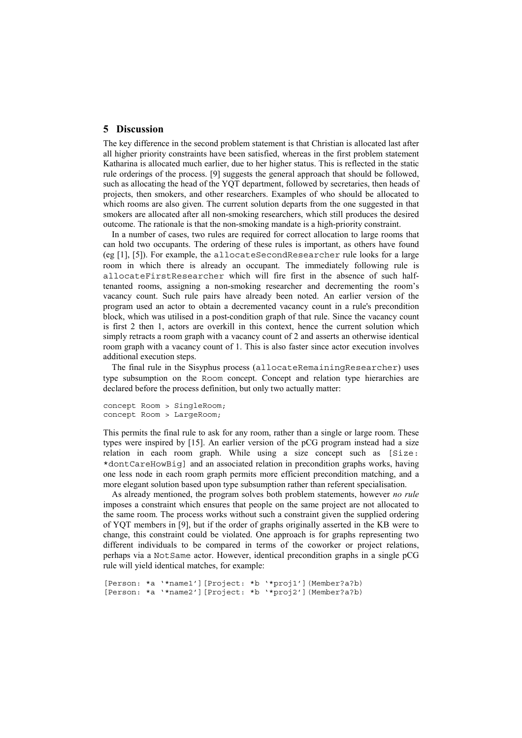## **5 Discussion**

The key difference in the second problem statement is that Christian is allocated last after all higher priority constraints have been satisfied, whereas in the first problem statement Katharina is allocated much earlier, due to her higher status. This is reflected in the static rule orderings of the process. [\[9\]](#page-15-0) suggests the general approach that should be followed, such as allocating the head of the YQT department, followed by secretaries, then heads of projects, then smokers, and other researchers. Examples of who should be allocated to which rooms are also given. The current solution departs from the one suggested in that smokers are allocated after all non-smoking researchers, which still produces the desired outcome. The rationale is that the non-smoking mandate is a high-priority constraint.

In a number of cases, two rules are required for correct allocation to large rooms that can hold two occupants. The ordering of these rules is important, as others have found (eg [[1\]](#page-15-0), [[5\]](#page-15-0)). For example, the allocateSecondResearcher rule looks for a large room in which there is already an occupant. The immediately following rule is allocateFirstResearcher which will fire first in the absence of such halftenanted rooms, assigning a non-smoking researcher and decrementing the room's vacancy count. Such rule pairs have already been noted. An earlier version of the program used an actor to obtain a decremented vacancy count in a rule's precondition block, which was utilised in a post-condition graph of that rule. Since the vacancy count is first 2 then 1, actors are overkill in this context, hence the current solution which simply retracts a room graph with a vacancy count of 2 and asserts an otherwise identical room graph with a vacancy count of 1. This is also faster since actor execution involves additional execution steps.

The final rule in the Sisyphus process (allocateRemainingResearcher) uses type subsumption on the Room concept. Concept and relation type hierarchies are declared before the process definition, but only two actually matter:

concept Room > SingleRoom; concept Room > LargeRoom;

This permits the final rule to ask for any room, rather than a single or large room. These types were inspired by [\[15\]](#page-15-0). An earlier version of the pCG program instead had a size relation in each room graph. While using a size concept such as [Size: \*dontCareHowBig] and an associated relation in precondition graphs works, having one less node in each room graph permits more efficient precondition matching, and a more elegant solution based upon type subsumption rather than referent specialisation.

As already mentioned, the program solves both problem statements, however *no rule* imposes a constraint which ensures that people on the same project are not allocated to the same room. The process works without such a constraint given the supplied ordering of YQT members in [\[9\]](#page-15-0), but if the order of graphs originally asserted in the KB were to change, this constraint could be violated. One approach is for graphs representing two different individuals to be compared in terms of the coworker or project relations, perhaps via a NotSame actor. However, identical precondition graphs in a single pCG rule will yield identical matches, for example:

[Person: \*a '\*name1'][Project: \*b '\*proj1'](Member?a?b) [Person: \*a '\*name2'][Project: \*b '\*proj2'](Member?a?b)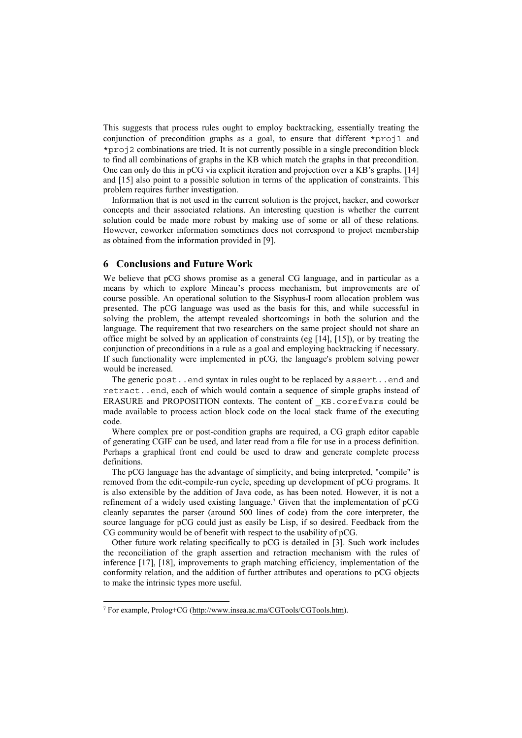This suggests that process rules ought to employ backtracking, essentially treating the conjunction of precondition graphs as a goal, to ensure that different  $*$ proj1 and \*proj2 combinations are tried. It is not currently possible in a single precondition block to find all combinations of graphs in the KB which match the graphs in that precondition. One can only do this in pCG via explicit iteration and projection over a KB's graphs. [[14\]](#page-15-0) and [\[15\]](#page-15-0) also point to a possible solution in terms of the application of constraints. This problem requires further investigation.

Information that is not used in the current solution is the project, hacker, and coworker concepts and their associated relations. An interesting question is whether the current solution could be made more robust by making use of some or all of these relations. However, coworker information sometimes does not correspond to project membership as obtained from the information provided in [[9\]](#page-15-0).

## **6 Conclusions and Future Work**

We believe that pCG shows promise as a general CG language, and in particular as a means by which to explore Mineau's process mechanism, but improvements are of course possible. An operational solution to the Sisyphus-I room allocation problem was presented. The pCG language was used as the basis for this, and while successful in solving the problem, the attempt revealed shortcomings in both the solution and the language. The requirement that two researchers on the same project should not share an office might be solved by an application of constraints (eg [\[14\]](#page-15-0), [\[15\]](#page-15-0)), or by treating the conjunction of preconditions in a rule as a goal and employing backtracking if necessary. If such functionality were implemented in pCG, the language's problem solving power would be increased.

The generic post..end syntax in rules ought to be replaced by assert..end and retract..end, each of which would contain a sequence of simple graphs instead of ERASURE and PROPOSITION contexts. The content of \_KB.corefvars could be made available to process action block code on the local stack frame of the executing code.

Where complex pre or post-condition graphs are required, a CG graph editor capable of generating CGIF can be used, and later read from a file for use in a process definition. Perhaps a graphical front end could be used to draw and generate complete process definitions.

The pCG language has the advantage of simplicity, and being interpreted, "compile" is removed from the edit-compile-run cycle, speeding up development of pCG programs. It is also extensible by the addition of Java code, as has been noted. However, it is not a refinement of a widely used existing language.<sup>7</sup> Given that the implementation of pCG cleanly separates the parser (around 500 lines of code) from the core interpreter, the source language for pCG could just as easily be Lisp, if so desired. Feedback from the CG community would be of benefit with respect to the usability of pCG.

Other future work relating specifically to pCG is detailed in [\[3\]](#page-15-0). Such work includes the reconciliation of the graph assertion and retraction mechanism with the rules of inference [\[17\]](#page-15-0), [\[18\]](#page-15-0), improvements to graph matching efficiency, implementation of the conformity relation, and the addition of further attributes and operations to pCG objects to make the intrinsic types more useful.

<sup>&</sup>lt;sup>7</sup> For example, Prolog+CG (http://www.insea.ac.ma/CGTools/CGTools.htm).